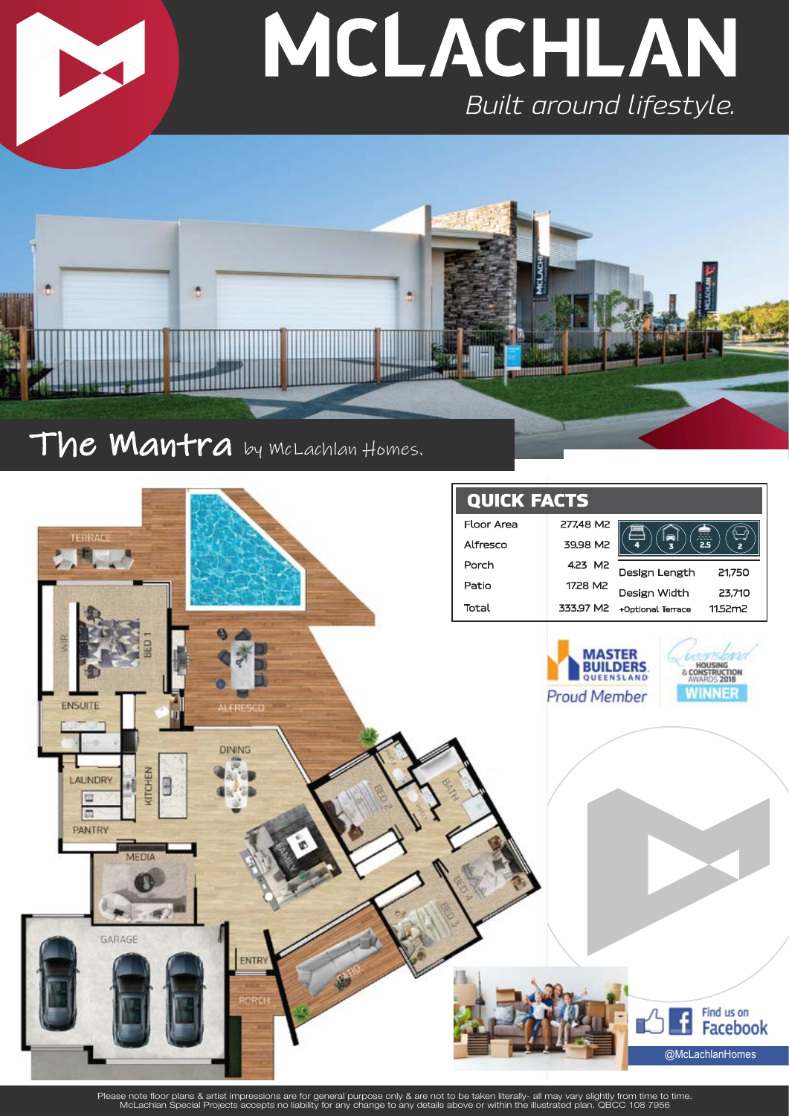

# The **Mantra** by McLachlan Homes.

**SAND2 (2008)** 



Please note floor plans & artist impressions are for general purpose only & are not to be taken literally- all may vary slightly from time to time.<br>McLachlan Special Projects accepts no liability for any change to any deta